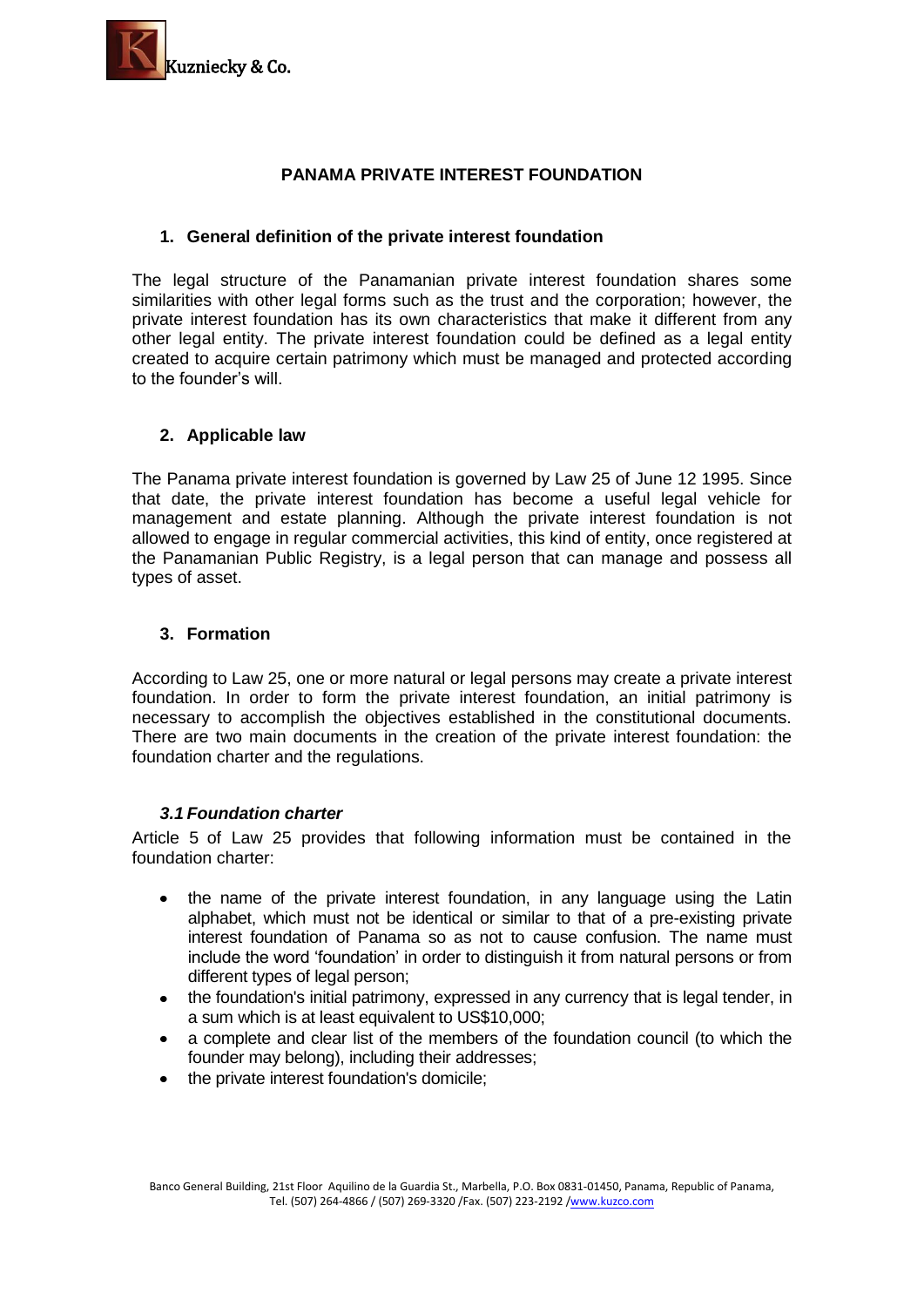

# **PANAMA PRIVATE INTEREST FOUNDATION**

### **1. General definition of the private interest foundation**

The legal structure of the Panamanian private interest foundation shares some similarities with other legal forms such as the trust and the corporation; however, the private interest foundation has its own characteristics that make it different from any other legal entity. The private interest foundation could be defined as a legal entity created to acquire certain patrimony which must be managed and protected according to the founder's will.

# **2. Applicable law**

The Panama private interest foundation is governed by Law 25 of June 12 1995. Since that date, the private interest foundation has become a useful legal vehicle for management and estate planning. Although the private interest foundation is not allowed to engage in regular commercial activities, this kind of entity, once registered at the Panamanian Public Registry, is a legal person that can manage and possess all types of asset.

### **3. Formation**

According to Law 25, one or more natural or legal persons may create a private interest foundation. In order to form the private interest foundation, an initial patrimony is necessary to accomplish the objectives established in the constitutional documents. There are two main documents in the creation of the private interest foundation: the foundation charter and the regulations.

#### *3.1 Foundation charter*

Article 5 of Law 25 provides that following information must be contained in the foundation charter:

- the name of the private interest foundation, in any language using the Latin  $\bullet$ alphabet, which must not be identical or similar to that of a pre-existing private interest foundation of Panama so as not to cause confusion. The name must include the word 'foundation' in order to distinguish it from natural persons or from different types of legal person:
- the foundation's initial patrimony, expressed in any currency that is legal tender, in a sum which is at least equivalent to US\$10,000;
- a complete and clear list of the members of the foundation council (to which the founder may belong), including their addresses;
- the private interest foundation's domicile;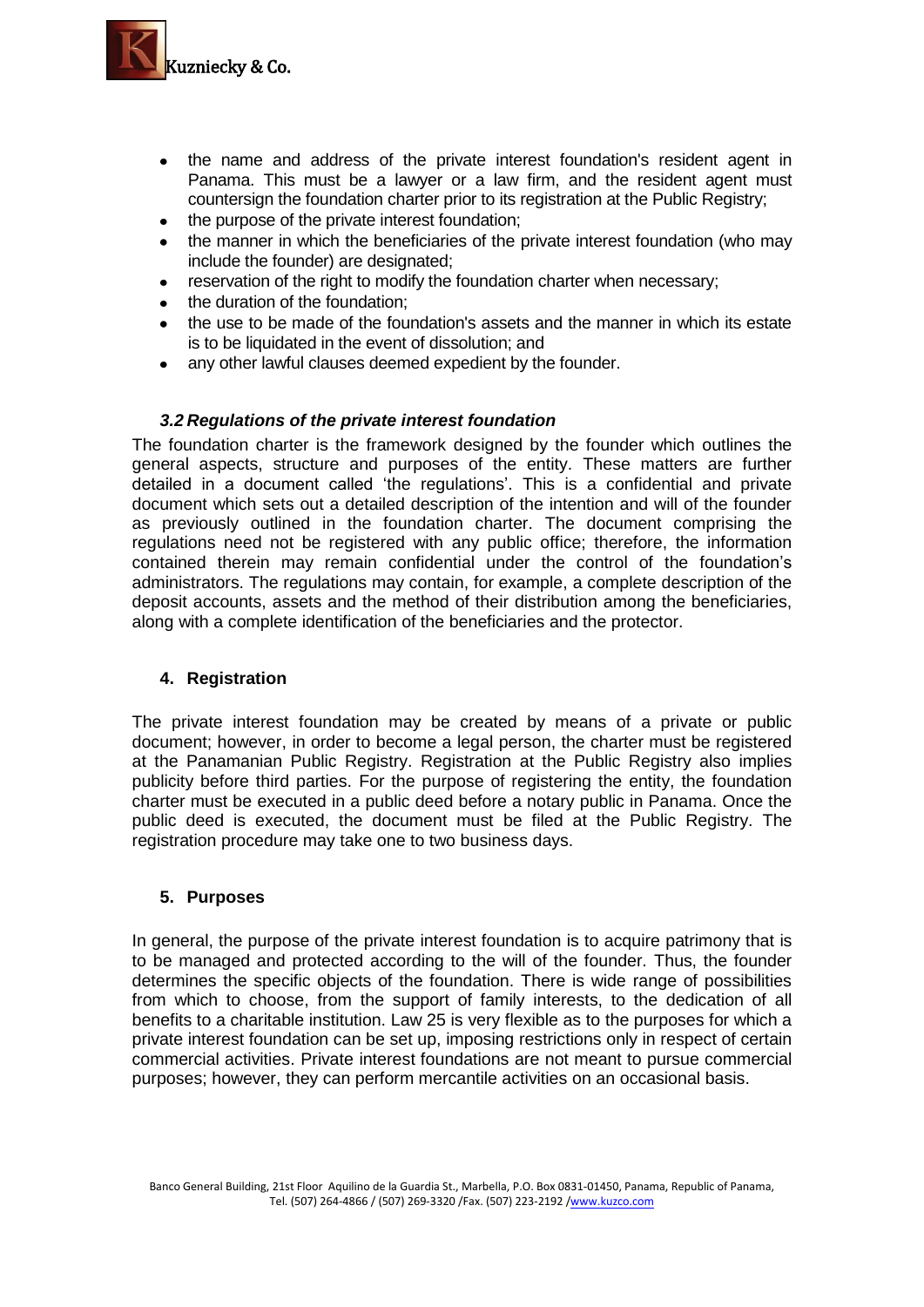

- the name and address of the private interest foundation's resident agent in Panama. This must be a lawyer or a law firm, and the resident agent must countersign the foundation charter prior to its registration at the Public Registry;
- the purpose of the private interest foundation;
- the manner in which the beneficiaries of the private interest foundation (who may include the founder) are designated;
- reservation of the right to modify the foundation charter when necessary;
- the duration of the foundation;
- the use to be made of the foundation's assets and the manner in which its estate  $\bullet$ is to be liquidated in the event of dissolution; and
- any other lawful clauses deemed expedient by the founder.

### *3.2 Regulations of the private interest foundation*

The foundation charter is the framework designed by the founder which outlines the general aspects, structure and purposes of the entity. These matters are further detailed in a document called 'the regulations'. This is a confidential and private document which sets out a detailed description of the intention and will of the founder as previously outlined in the foundation charter. The document comprising the regulations need not be registered with any public office; therefore, the information contained therein may remain confidential under the control of the foundation's administrators. The regulations may contain, for example, a complete description of the deposit accounts, assets and the method of their distribution among the beneficiaries, along with a complete identification of the beneficiaries and the protector.

#### **4. Registration**

The private interest foundation may be created by means of a private or public document; however, in order to become a legal person, the charter must be registered at the Panamanian Public Registry. Registration at the Public Registry also implies publicity before third parties. For the purpose of registering the entity, the foundation charter must be executed in a public deed before a notary public in Panama. Once the public deed is executed, the document must be filed at the Public Registry. The registration procedure may take one to two business days.

# **5. Purposes**

In general, the purpose of the private interest foundation is to acquire patrimony that is to be managed and protected according to the will of the founder. Thus, the founder determines the specific objects of the foundation. There is wide range of possibilities from which to choose, from the support of family interests, to the dedication of all benefits to a charitable institution. Law 25 is very flexible as to the purposes for which a private interest foundation can be set up, imposing restrictions only in respect of certain commercial activities. Private interest foundations are not meant to pursue commercial purposes; however, they can perform mercantile activities on an occasional basis.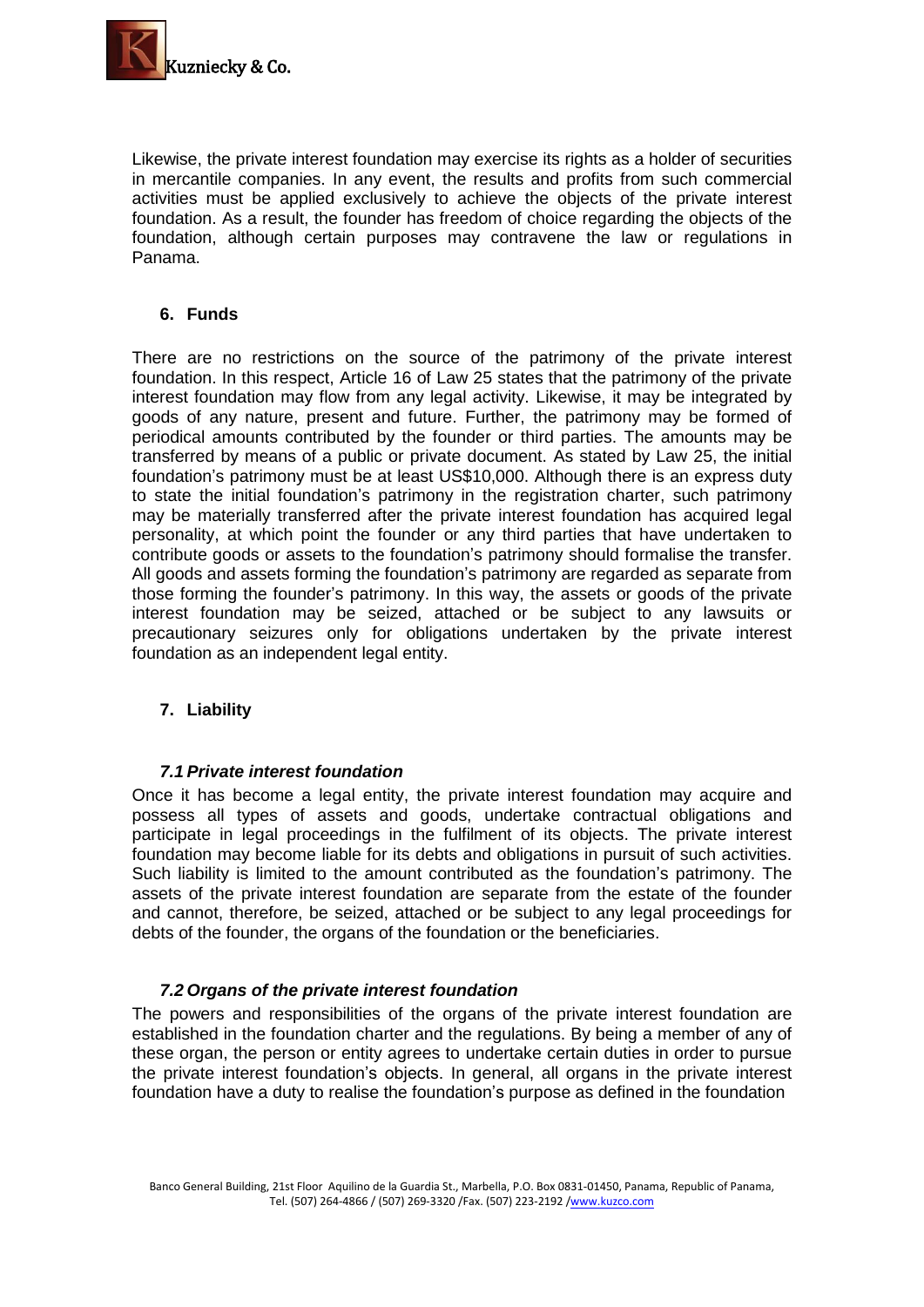

Likewise, the private interest foundation may exercise its rights as a holder of securities in mercantile companies. In any event, the results and profits from such commercial activities must be applied exclusively to achieve the objects of the private interest foundation. As a result, the founder has freedom of choice regarding the objects of the foundation, although certain purposes may contravene the law or regulations in Panama.

# **6. Funds**

There are no restrictions on the source of the patrimony of the private interest foundation. In this respect, Article 16 of Law 25 states that the patrimony of the private interest foundation may flow from any legal activity. Likewise, it may be integrated by goods of any nature, present and future. Further, the patrimony may be formed of periodical amounts contributed by the founder or third parties. The amounts may be transferred by means of a public or private document. As stated by Law 25, the initial foundation's patrimony must be at least US\$10,000. Although there is an express duty to state the initial foundation's patrimony in the registration charter, such patrimony may be materially transferred after the private interest foundation has acquired legal personality, at which point the founder or any third parties that have undertaken to contribute goods or assets to the foundation's patrimony should formalise the transfer. All goods and assets forming the foundation's patrimony are regarded as separate from those forming the founder's patrimony. In this way, the assets or goods of the private interest foundation may be seized, attached or be subject to any lawsuits or precautionary seizures only for obligations undertaken by the private interest foundation as an independent legal entity.

# **7. Liability**

# *7.1 Private interest foundation*

Once it has become a legal entity, the private interest foundation may acquire and possess all types of assets and goods, undertake contractual obligations and participate in legal proceedings in the fulfilment of its objects. The private interest foundation may become liable for its debts and obligations in pursuit of such activities. Such liability is limited to the amount contributed as the foundation's patrimony. The assets of the private interest foundation are separate from the estate of the founder and cannot, therefore, be seized, attached or be subject to any legal proceedings for debts of the founder, the organs of the foundation or the beneficiaries.

# *7.2 Organs of the private interest foundation*

The powers and responsibilities of the organs of the private interest foundation are established in the foundation charter and the regulations. By being a member of any of these organ, the person or entity agrees to undertake certain duties in order to pursue the private interest foundation's objects. In general, all organs in the private interest foundation have a duty to realise the foundation's purpose as defined in the foundation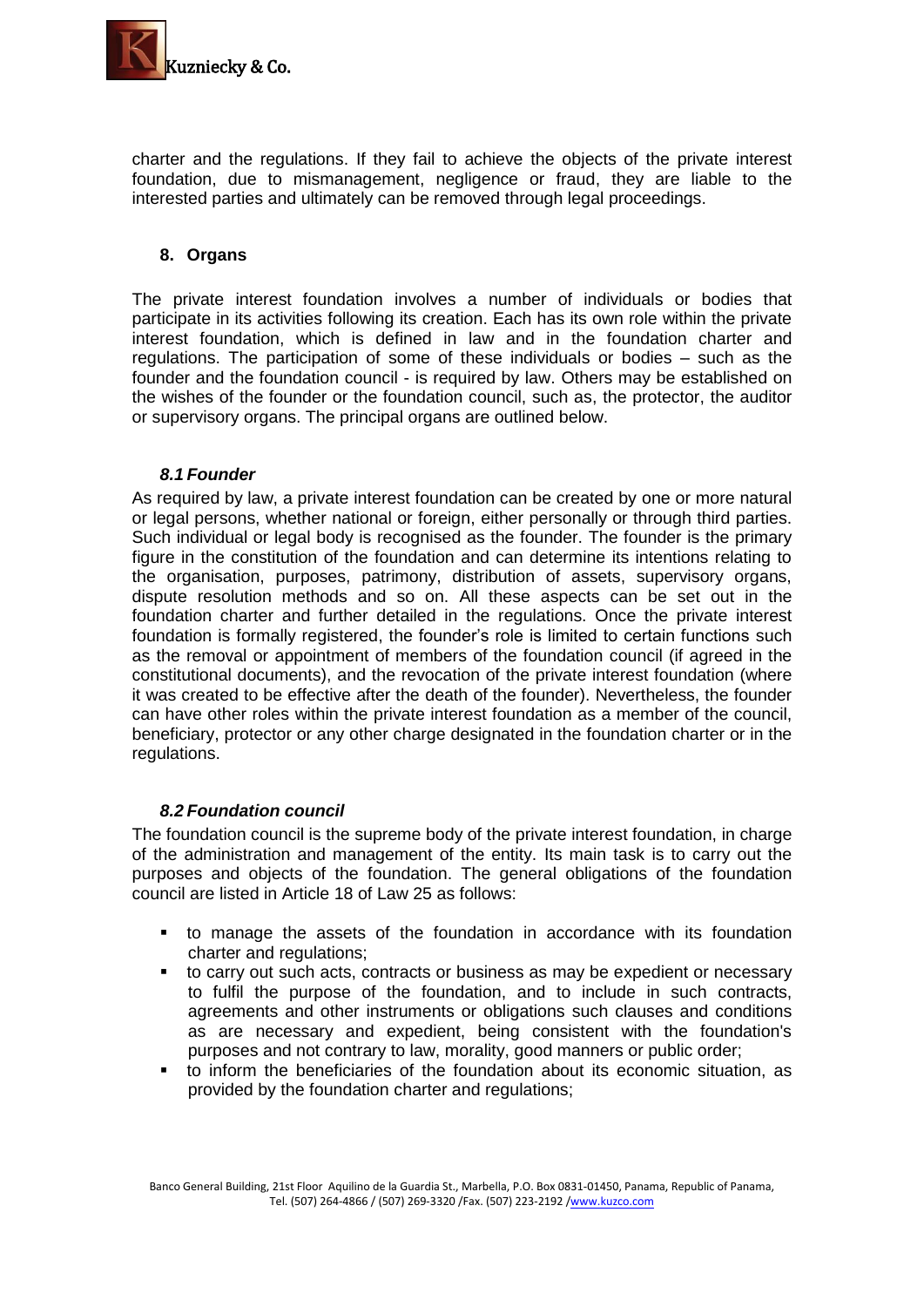

charter and the regulations. If they fail to achieve the objects of the private interest foundation, due to mismanagement, negligence or fraud, they are liable to the interested parties and ultimately can be removed through legal proceedings.

# **8. Organs**

The private interest foundation involves a number of individuals or bodies that participate in its activities following its creation. Each has its own role within the private interest foundation, which is defined in law and in the foundation charter and regulations. The participation of some of these individuals or bodies – such as the founder and the foundation council - is required by law. Others may be established on the wishes of the founder or the foundation council, such as, the protector, the auditor or supervisory organs. The principal organs are outlined below.

# *8.1 Founder*

As required by law, a private interest foundation can be created by one or more natural or legal persons, whether national or foreign, either personally or through third parties. Such individual or legal body is recognised as the founder. The founder is the primary figure in the constitution of the foundation and can determine its intentions relating to the organisation, purposes, patrimony, distribution of assets, supervisory organs, dispute resolution methods and so on. All these aspects can be set out in the foundation charter and further detailed in the regulations. Once the private interest foundation is formally registered, the founder's role is limited to certain functions such as the removal or appointment of members of the foundation council (if agreed in the constitutional documents), and the revocation of the private interest foundation (where it was created to be effective after the death of the founder). Nevertheless, the founder can have other roles within the private interest foundation as a member of the council, beneficiary, protector or any other charge designated in the foundation charter or in the regulations.

# *8.2 Foundation council*

The foundation council is the supreme body of the private interest foundation, in charge of the administration and management of the entity. Its main task is to carry out the purposes and objects of the foundation. The general obligations of the foundation council are listed in Article 18 of Law 25 as follows:

- to manage the assets of the foundation in accordance with its foundation charter and regulations;
- to carry out such acts, contracts or business as may be expedient or necessary to fulfil the purpose of the foundation, and to include in such contracts, agreements and other instruments or obligations such clauses and conditions as are necessary and expedient, being consistent with the foundation's purposes and not contrary to law, morality, good manners or public order;
- to inform the beneficiaries of the foundation about its economic situation, as provided by the foundation charter and regulations;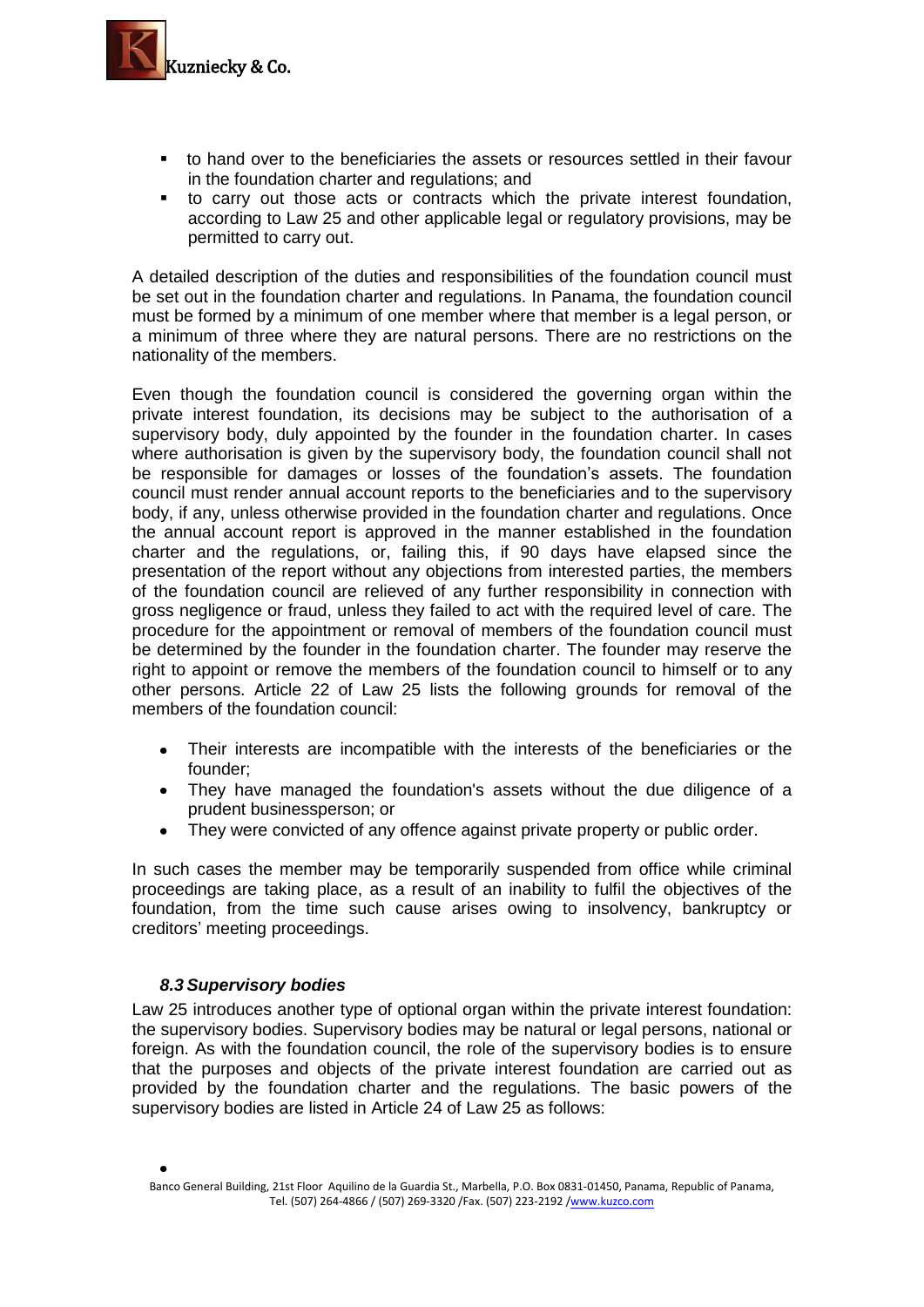

- to hand over to the beneficiaries the assets or resources settled in their favour in the foundation charter and regulations; and
- to carry out those acts or contracts which the private interest foundation, according to Law 25 and other applicable legal or regulatory provisions, may be permitted to carry out.

A detailed description of the duties and responsibilities of the foundation council must be set out in the foundation charter and regulations. In Panama, the foundation council must be formed by a minimum of one member where that member is a legal person, or a minimum of three where they are natural persons. There are no restrictions on the nationality of the members.

Even though the foundation council is considered the governing organ within the private interest foundation, its decisions may be subject to the authorisation of a supervisory body, duly appointed by the founder in the foundation charter. In cases where authorisation is given by the supervisory body, the foundation council shall not be responsible for damages or losses of the foundation's assets. The foundation council must render annual account reports to the beneficiaries and to the supervisory body, if any, unless otherwise provided in the foundation charter and regulations. Once the annual account report is approved in the manner established in the foundation charter and the regulations, or, failing this, if 90 days have elapsed since the presentation of the report without any objections from interested parties, the members of the foundation council are relieved of any further responsibility in connection with gross negligence or fraud, unless they failed to act with the required level of care. The procedure for the appointment or removal of members of the foundation council must be determined by the founder in the foundation charter. The founder may reserve the right to appoint or remove the members of the foundation council to himself or to any other persons. Article 22 of Law 25 lists the following grounds for removal of the members of the foundation council:

- Their interests are incompatible with the interests of the beneficiaries or the  $\bullet$ founder;
- They have managed the foundation's assets without the due diligence of a prudent businessperson; or
- They were convicted of any offence against private property or public order.  $\bullet$

In such cases the member may be temporarily suspended from office while criminal proceedings are taking place, as a result of an inability to fulfil the objectives of the foundation, from the time such cause arises owing to insolvency, bankruptcy or creditors' meeting proceedings.

# *8.3 Supervisory bodies*

Law 25 introduces another type of optional organ within the private interest foundation: the supervisory bodies. Supervisory bodies may be natural or legal persons, national or foreign. As with the foundation council, the role of the supervisory bodies is to ensure that the purposes and objects of the private interest foundation are carried out as provided by the foundation charter and the regulations. The basic powers of the supervisory bodies are listed in Article 24 of Law 25 as follows: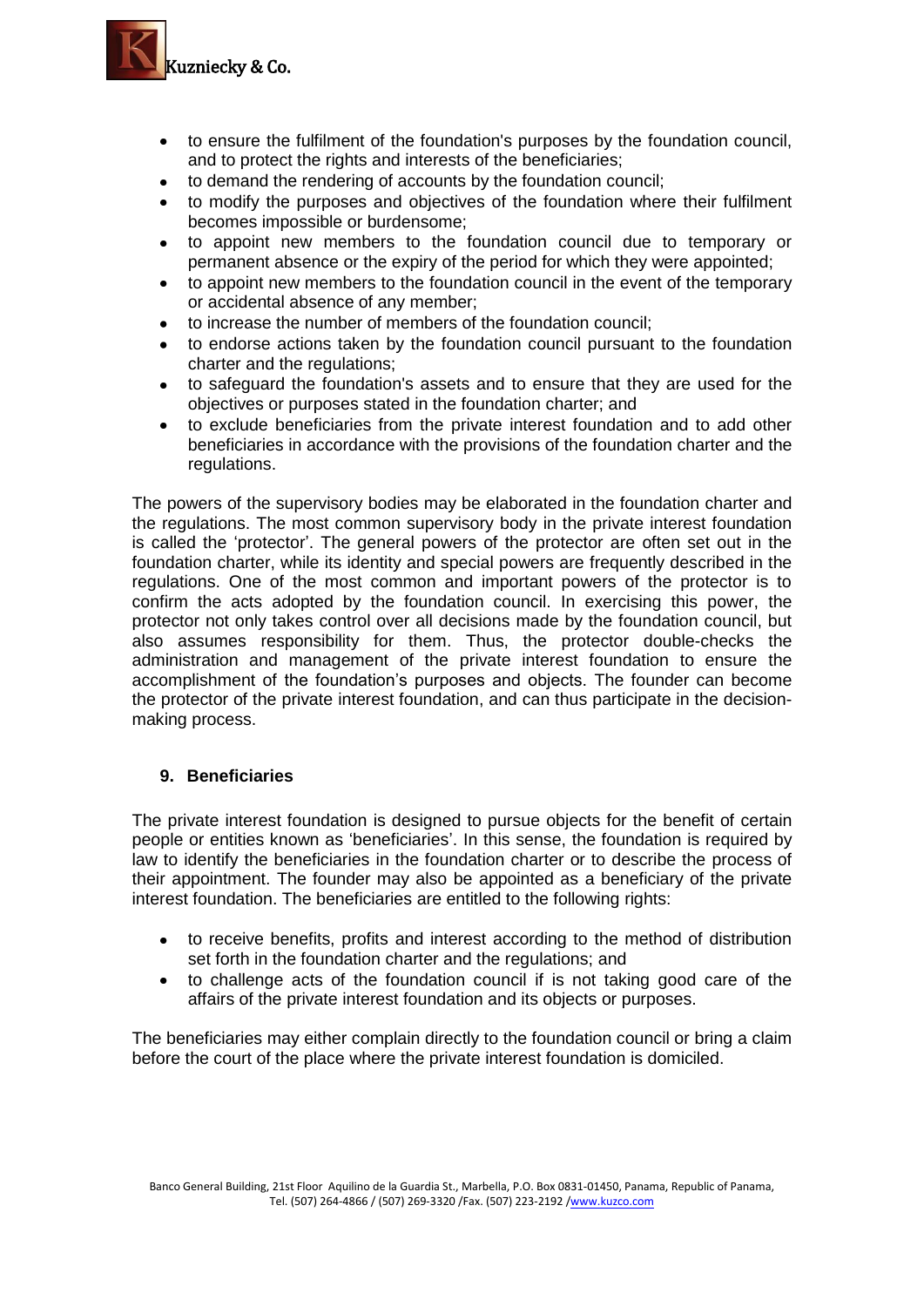

- to ensure the fulfilment of the foundation's purposes by the foundation council, and to protect the rights and interests of the beneficiaries;
- to demand the rendering of accounts by the foundation council;
- to modify the purposes and objectives of the foundation where their fulfilment becomes impossible or burdensome;
- to appoint new members to the foundation council due to temporary or permanent absence or the expiry of the period for which they were appointed;
- to appoint new members to the foundation council in the event of the temporary or accidental absence of any member;
- to increase the number of members of the foundation council;
- to endorse actions taken by the foundation council pursuant to the foundation charter and the regulations;
- to safeguard the foundation's assets and to ensure that they are used for the  $\bullet$ objectives or purposes stated in the foundation charter; and
- to exclude beneficiaries from the private interest foundation and to add other beneficiaries in accordance with the provisions of the foundation charter and the regulations.

The powers of the supervisory bodies may be elaborated in the foundation charter and the regulations. The most common supervisory body in the private interest foundation is called the 'protector'. The general powers of the protector are often set out in the foundation charter, while its identity and special powers are frequently described in the regulations. One of the most common and important powers of the protector is to confirm the acts adopted by the foundation council. In exercising this power, the protector not only takes control over all decisions made by the foundation council, but also assumes responsibility for them. Thus, the protector double-checks the administration and management of the private interest foundation to ensure the accomplishment of the foundation's purposes and objects. The founder can become the protector of the private interest foundation, and can thus participate in the decisionmaking process.

# **9. Beneficiaries**

The private interest foundation is designed to pursue objects for the benefit of certain people or entities known as 'beneficiaries'. In this sense, the foundation is required by law to identify the beneficiaries in the foundation charter or to describe the process of their appointment. The founder may also be appointed as a beneficiary of the private interest foundation. The beneficiaries are entitled to the following rights:

- to receive benefits, profits and interest according to the method of distribution set forth in the foundation charter and the regulations; and
- to challenge acts of the foundation council if is not taking good care of the affairs of the private interest foundation and its objects or purposes.

The beneficiaries may either complain directly to the foundation council or bring a claim before the court of the place where the private interest foundation is domiciled.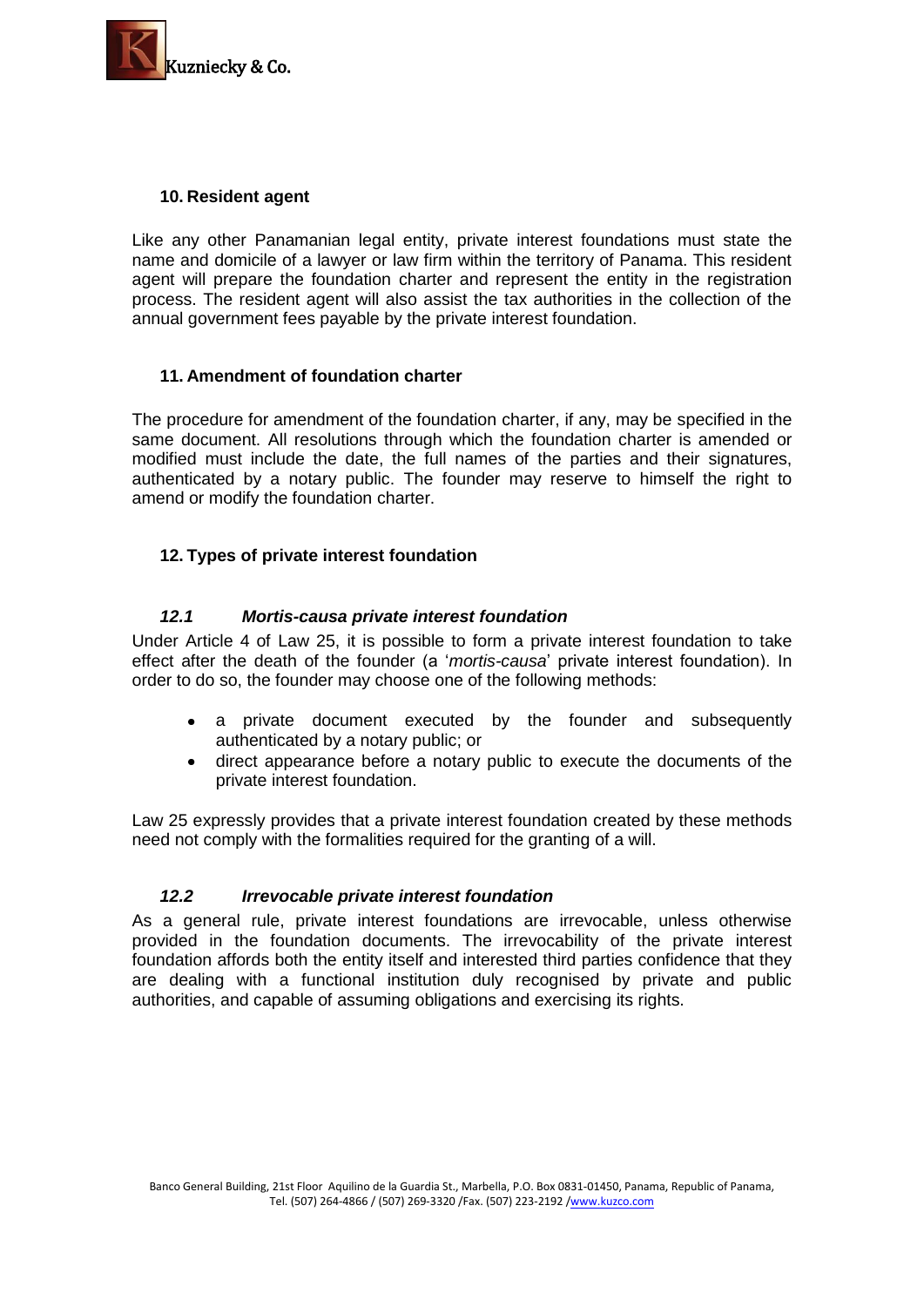

# **10. Resident agent**

Like any other Panamanian legal entity, private interest foundations must state the name and domicile of a lawyer or law firm within the territory of Panama. This resident agent will prepare the foundation charter and represent the entity in the registration process. The resident agent will also assist the tax authorities in the collection of the annual government fees payable by the private interest foundation.

# **11. Amendment of foundation charter**

The procedure for amendment of the foundation charter, if any, may be specified in the same document. All resolutions through which the foundation charter is amended or modified must include the date, the full names of the parties and their signatures, authenticated by a notary public. The founder may reserve to himself the right to amend or modify the foundation charter.

# **12. Types of private interest foundation**

# *12.1 Mortis-causa private interest foundation*

Under Article 4 of Law 25, it is possible to form a private interest foundation to take effect after the death of the founder (a '*mortis-causa*' private interest foundation). In order to do so, the founder may choose one of the following methods:

- a private document executed by the founder and subsequently authenticated by a notary public; or
- direct appearance before a notary public to execute the documents of the private interest foundation.

Law 25 expressly provides that a private interest foundation created by these methods need not comply with the formalities required for the granting of a will.

# *12.2 Irrevocable private interest foundation*

As a general rule, private interest foundations are irrevocable, unless otherwise provided in the foundation documents. The irrevocability of the private interest foundation affords both the entity itself and interested third parties confidence that they are dealing with a functional institution duly recognised by private and public authorities, and capable of assuming obligations and exercising its rights.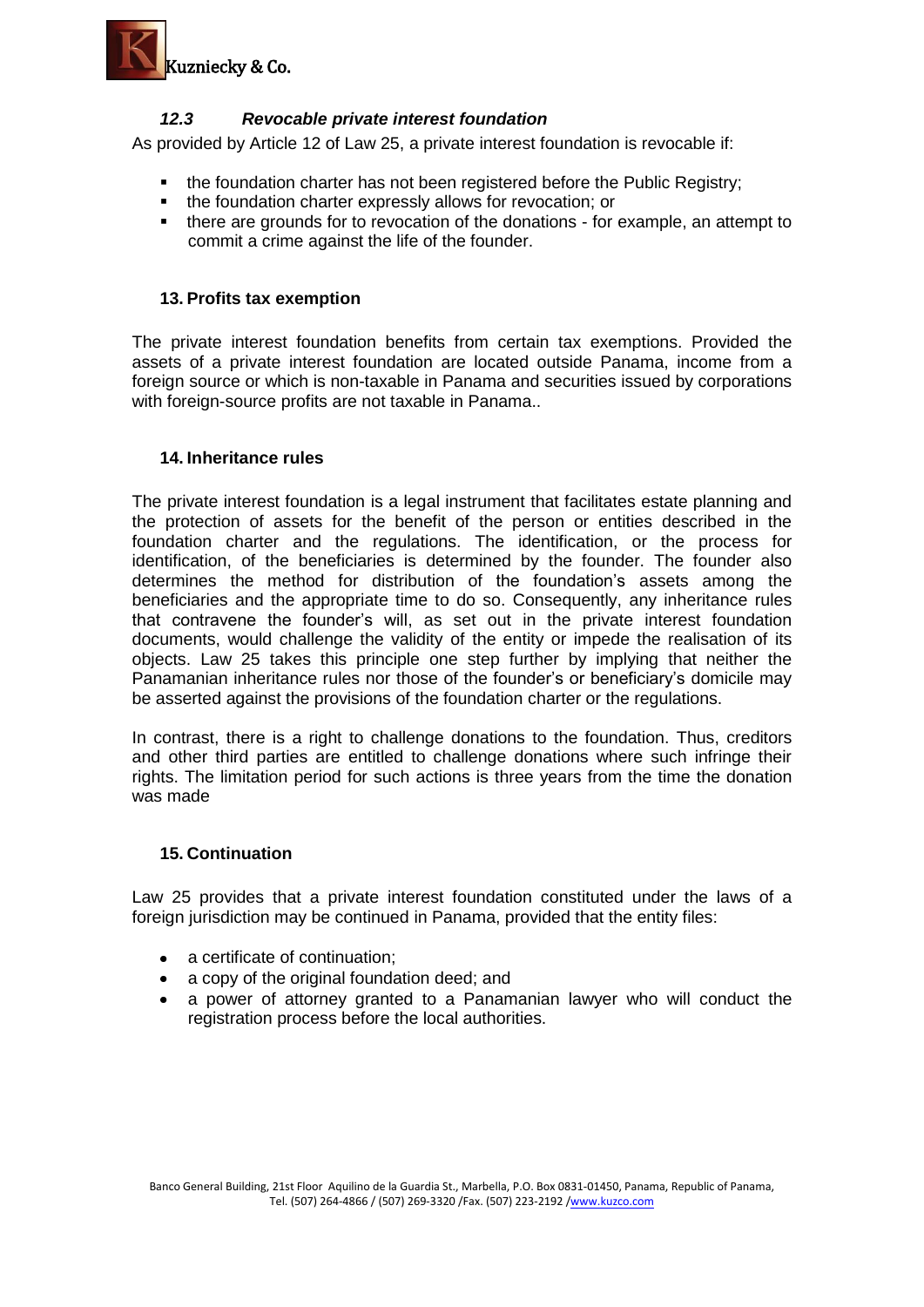

# *12.3 Revocable private interest foundation*

As provided by Article 12 of Law 25, a private interest foundation is revocable if:

- the foundation charter has not been registered before the Public Registry;
- **the foundation charter expressly allows for revocation; or**
- there are grounds for to revocation of the donations for example, an attempt to commit a crime against the life of the founder.

### **13. Profits tax exemption**

The private interest foundation benefits from certain tax exemptions. Provided the assets of a private interest foundation are located outside Panama, income from a foreign source or which is non-taxable in Panama and securities issued by corporations with foreign-source profits are not taxable in Panama..

### **14. Inheritance rules**

The private interest foundation is a legal instrument that facilitates estate planning and the protection of assets for the benefit of the person or entities described in the foundation charter and the regulations. The identification, or the process for identification, of the beneficiaries is determined by the founder. The founder also determines the method for distribution of the foundation's assets among the beneficiaries and the appropriate time to do so. Consequently, any inheritance rules that contravene the founder's will, as set out in the private interest foundation documents, would challenge the validity of the entity or impede the realisation of its objects. Law 25 takes this principle one step further by implying that neither the Panamanian inheritance rules nor those of the founder's or beneficiary's domicile may be asserted against the provisions of the foundation charter or the regulations.

In contrast, there is a right to challenge donations to the foundation. Thus, creditors and other third parties are entitled to challenge donations where such infringe their rights. The limitation period for such actions is three years from the time the donation was made

#### **15. Continuation**

Law 25 provides that a private interest foundation constituted under the laws of a foreign jurisdiction may be continued in Panama, provided that the entity files:

- a certificate of continuation;
- a copy of the original foundation deed; and
- a power of attorney granted to a Panamanian lawyer who will conduct the registration process before the local authorities.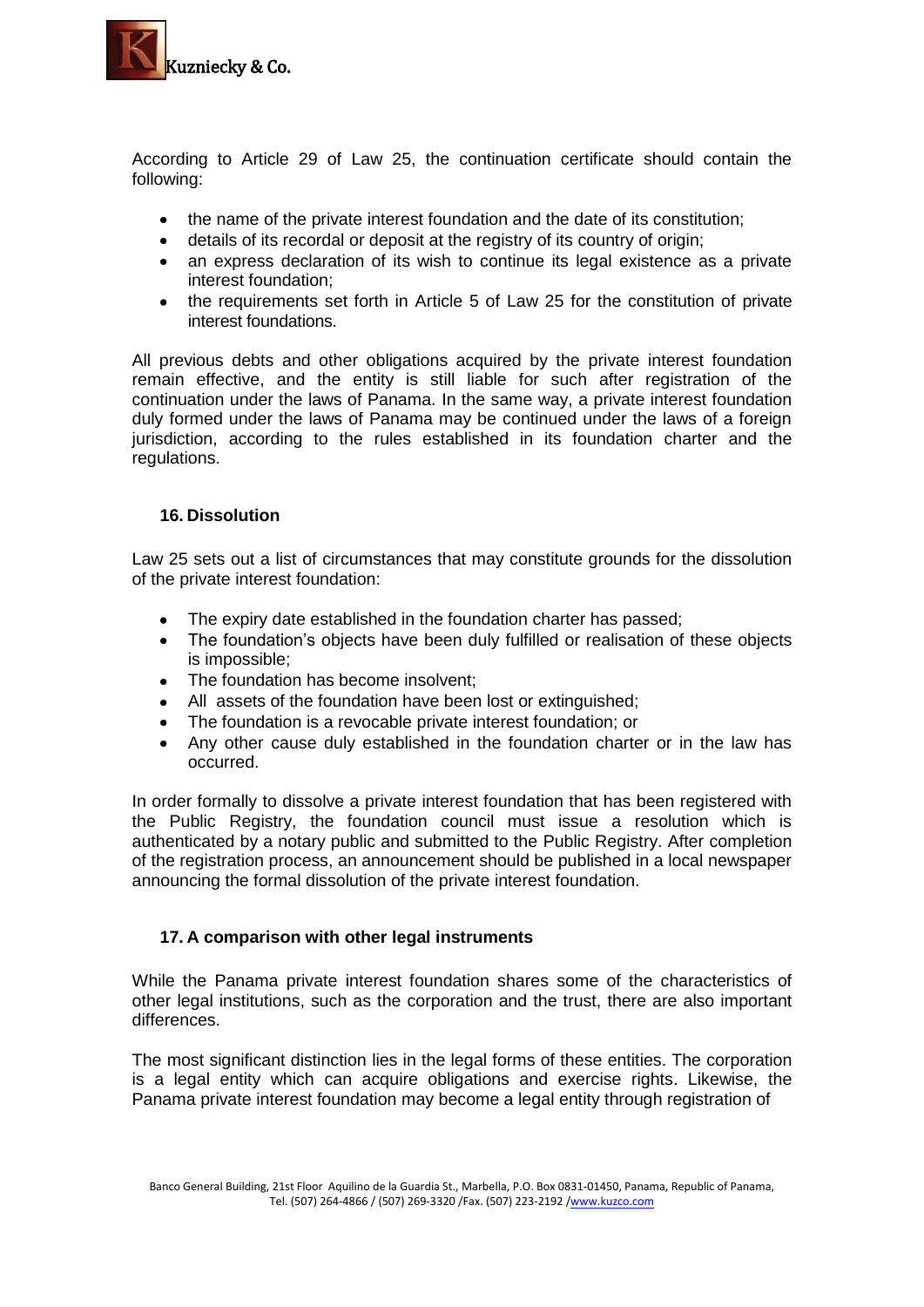

According to Article 29 of Law 25, the continuation certificate should contain the following:

- the name of the private interest foundation and the date of its constitution;
- details of its recordal or deposit at the registry of its country of origin;
- an express declaration of its wish to continue its legal existence as a private interest foundation;
- the requirements set forth in Article 5 of Law 25 for the constitution of private interest foundations.

All previous debts and other obligations acquired by the private interest foundation remain effective, and the entity is still liable for such after registration of the continuation under the laws of Panama. In the same way, a private interest foundation duly formed under the laws of Panama may be continued under the laws of a foreign jurisdiction, according to the rules established in its foundation charter and the regulations.

# **16. Dissolution**

Law 25 sets out a list of circumstances that may constitute grounds for the dissolution of the private interest foundation:

- The expiry date established in the foundation charter has passed;
- The foundation's objects have been duly fulfilled or realisation of these objects  $\bullet$ is impossible;
- The foundation has become insolvent;  $\bullet$
- All assets of the foundation have been lost or extinguished;
- The foundation is a revocable private interest foundation; or  $\bullet$
- $\bullet$ Any other cause duly established in the foundation charter or in the law has occurred.

In order formally to dissolve a private interest foundation that has been registered with the Public Registry, the foundation council must issue a resolution which is authenticated by a notary public and submitted to the Public Registry. After completion of the registration process, an announcement should be published in a local newspaper announcing the formal dissolution of the private interest foundation.

# **17. A comparison with other legal instruments**

While the Panama private interest foundation shares some of the characteristics of other legal institutions, such as the corporation and the trust, there are also important differences.

The most significant distinction lies in the legal forms of these entities. The corporation is a legal entity which can acquire obligations and exercise rights. Likewise, the Panama private interest foundation may become a legal entity through registration of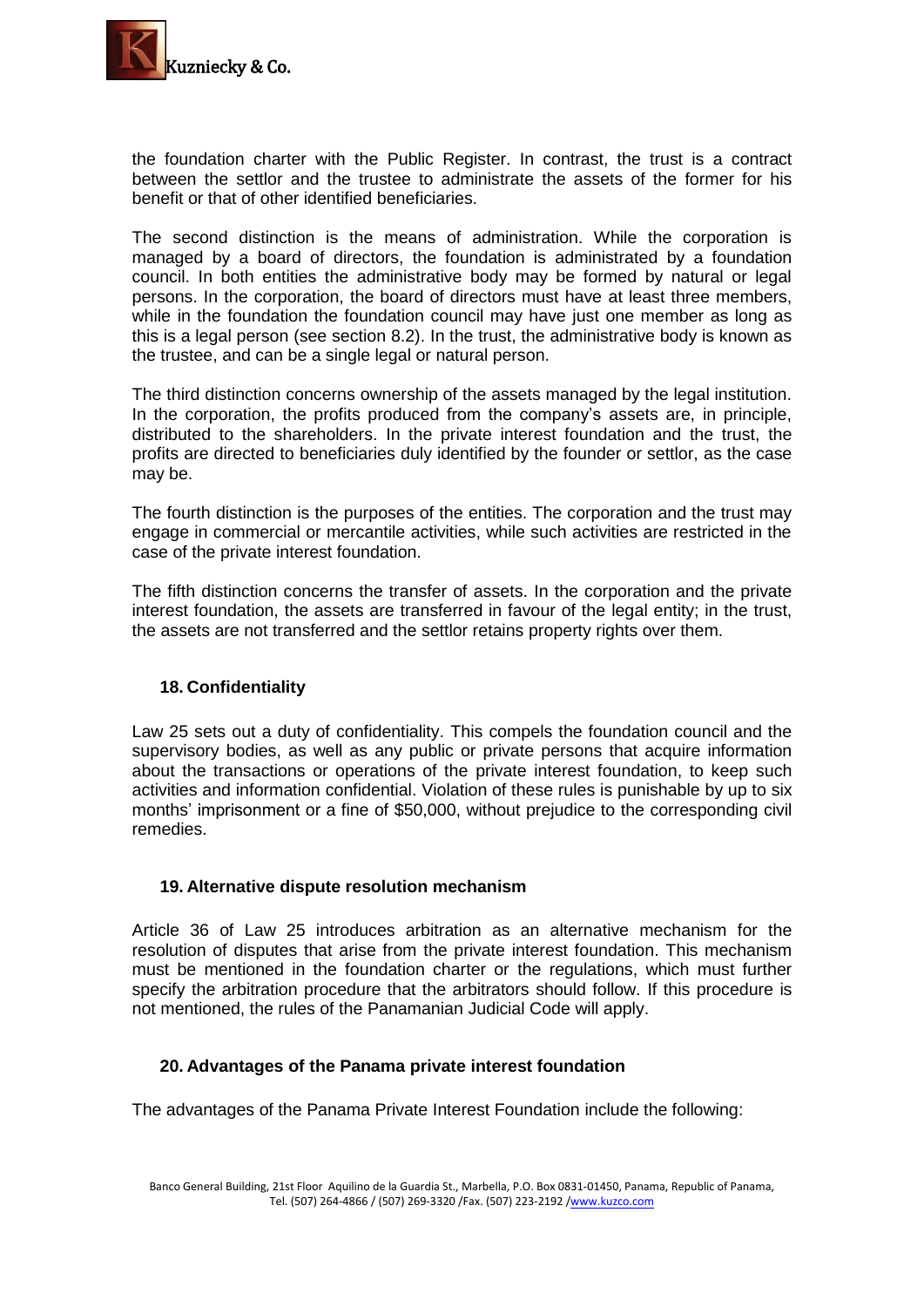

the foundation charter with the Public Register. In contrast, the trust is a contract between the settlor and the trustee to administrate the assets of the former for his benefit or that of other identified beneficiaries.

The second distinction is the means of administration. While the corporation is managed by a board of directors, the foundation is administrated by a foundation council. In both entities the administrative body may be formed by natural or legal persons. In the corporation, the board of directors must have at least three members, while in the foundation the foundation council may have just one member as long as this is a legal person (see section 8.2). In the trust, the administrative body is known as the trustee, and can be a single legal or natural person.

The third distinction concerns ownership of the assets managed by the legal institution. In the corporation, the profits produced from the company's assets are, in principle, distributed to the shareholders. In the private interest foundation and the trust, the profits are directed to beneficiaries duly identified by the founder or settlor, as the case may be.

The fourth distinction is the purposes of the entities. The corporation and the trust may engage in commercial or mercantile activities, while such activities are restricted in the case of the private interest foundation.

The fifth distinction concerns the transfer of assets. In the corporation and the private interest foundation, the assets are transferred in favour of the legal entity; in the trust, the assets are not transferred and the settlor retains property rights over them.

# **18. Confidentiality**

Law 25 sets out a duty of confidentiality. This compels the foundation council and the supervisory bodies, as well as any public or private persons that acquire information about the transactions or operations of the private interest foundation, to keep such activities and information confidential. Violation of these rules is punishable by up to six months' imprisonment or a fine of \$50,000, without prejudice to the corresponding civil remedies.

# **19. Alternative dispute resolution mechanism**

Article 36 of Law 25 introduces arbitration as an alternative mechanism for the resolution of disputes that arise from the private interest foundation. This mechanism must be mentioned in the foundation charter or the regulations, which must further specify the arbitration procedure that the arbitrators should follow. If this procedure is not mentioned, the rules of the Panamanian Judicial Code will apply.

# **20. Advantages of the Panama private interest foundation**

The advantages of the Panama Private Interest Foundation include the following: